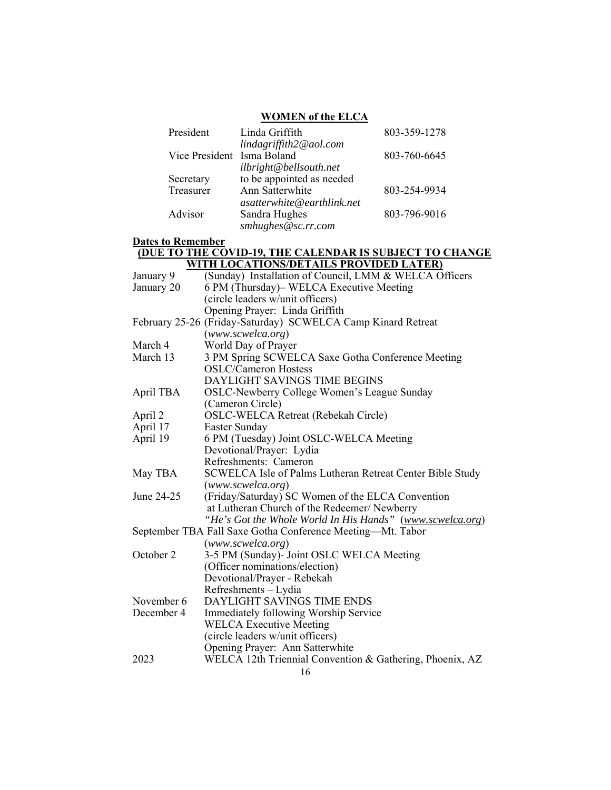# **WOMEN of the ELCA**

| President                  | Linda Griffith             | 803-359-1278 |
|----------------------------|----------------------------|--------------|
|                            | lindagriffith2@aol.com     |              |
| Vice President Isma Boland |                            | 803-760-6645 |
|                            | ilbright@bellsouth.net     |              |
| Secretary                  | to be appointed as needed  |              |
| Treasurer                  | Ann Satterwhite            | 803-254-9934 |
|                            | asatterwhite@earthlink.net |              |
| Advisor                    | Sandra Hughes              | 803-796-9016 |
|                            | smhughes@sc.rr.com         |              |

# **Dates to Remember**

#### **(DUE TO THE COVID-19, THE CALENDAR IS SUBJECT TO CHANGE WITH LOCATIONS/DETAILS PROVIDED LATER)**

| January 9  | (Sunday) Installation of Council, LMM & WELCA Officers       |  |  |
|------------|--------------------------------------------------------------|--|--|
| January 20 | 6 PM (Thursday)– WELCA Executive Meeting                     |  |  |
|            | (circle leaders w/unit officers)                             |  |  |
|            | Opening Prayer: Linda Griffith                               |  |  |
|            | February 25-26 (Friday-Saturday) SCWELCA Camp Kinard Retreat |  |  |
|            | (www.scwelca.org)                                            |  |  |
| March 4    | World Day of Prayer                                          |  |  |
| March 13   | 3 PM Spring SCWELCA Saxe Gotha Conference Meeting            |  |  |
|            | <b>OSLC/Cameron Hostess</b>                                  |  |  |
|            | DAYLIGHT SAVINGS TIME BEGINS                                 |  |  |
| April TBA  | OSLC-Newberry College Women's League Sunday                  |  |  |
|            | (Cameron Circle)                                             |  |  |
| April 2    | OSLC-WELCA Retreat (Rebekah Circle)                          |  |  |
| April 17   | Easter Sunday                                                |  |  |
| April 19   | 6 PM (Tuesday) Joint OSLC-WELCA Meeting                      |  |  |
|            | Devotional/Prayer: Lydia                                     |  |  |
|            | Refreshments: Cameron                                        |  |  |
| May TBA    | SCWELCA Isle of Palms Lutheran Retreat Center Bible Study    |  |  |
|            | (www.scwelca.org)                                            |  |  |
| June 24-25 | (Friday/Saturday) SC Women of the ELCA Convention            |  |  |
|            | at Lutheran Church of the Redeemer/ Newberry                 |  |  |
|            | "He's Got the Whole World In His Hands" (www.scwelca.org)    |  |  |
|            | September TBA Fall Saxe Gotha Conference Meeting-Mt. Tabor   |  |  |
|            | (www.scwelca.org)                                            |  |  |
| October 2  | 3-5 PM (Sunday)- Joint OSLC WELCA Meeting                    |  |  |
|            | (Officer nominations/election)                               |  |  |
|            | Devotional/Prayer - Rebekah                                  |  |  |
|            | Refreshments - Lydia                                         |  |  |
| November 6 | DAYLIGHT SAVINGS TIME ENDS                                   |  |  |
| December 4 | Immediately following Worship Service                        |  |  |
|            | <b>WELCA Executive Meeting</b>                               |  |  |
|            | (circle leaders w/unit officers)                             |  |  |
|            | Opening Prayer: Ann Satterwhite                              |  |  |
| 2023       | WELCA 12th Triennial Convention & Gathering, Phoenix, AZ     |  |  |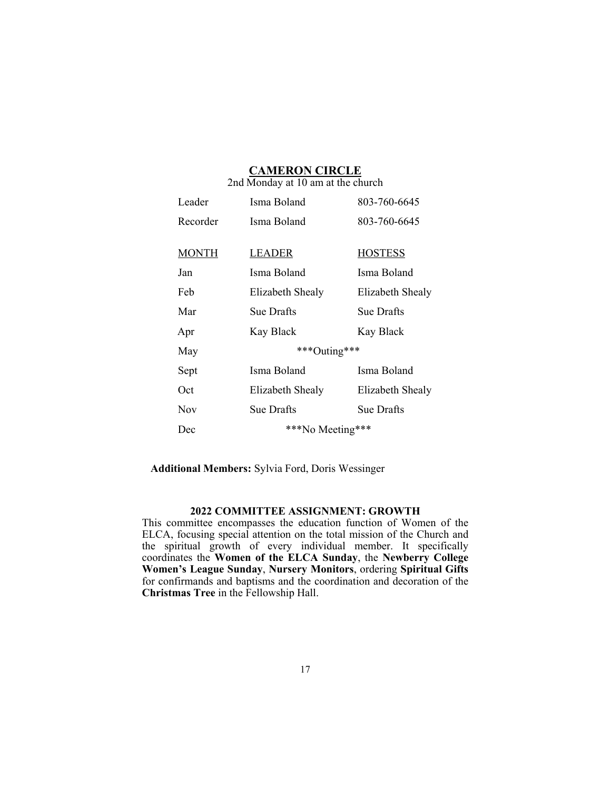# **CAMERON CIRCLE**

| 2nd Monday at 10 am at the church |                   |                  |
|-----------------------------------|-------------------|------------------|
| Leader                            | Isma Boland       | 803-760-6645     |
| Recorder                          | Isma Boland       | 803-760-6645     |
|                                   |                   |                  |
| <b>MONTH</b>                      | LEADER            | <b>HOSTESS</b>   |
| Jan                               | Isma Boland       | Isma Boland      |
| Feb                               | Elizabeth Shealy  | Elizabeth Shealy |
| Mar                               | Sue Drafts        | Sue Drafts       |
| Apr                               | Kay Black         | Kay Black        |
| May                               | ***Outing***      |                  |
| Sept                              | Isma Boland       | Isma Boland      |
| Oct                               | Elizabeth Shealy  | Elizabeth Shealy |
| Nov                               | <b>Sue Drafts</b> | Sue Drafts       |
| Dec                               | ***No Meeting***  |                  |

**Additional Members:** Sylvia Ford, Doris Wessinger

## **2022 COMMITTEE ASSIGNMENT: GROWTH**

This committee encompasses the education function of Women of the ELCA, focusing special attention on the total mission of the Church and the spiritual growth of every individual member. It specifically coordinates the **Women of the ELCA Sunday**, the **Newberry College Women's League Sunday**, **Nursery Monitors**, ordering **Spiritual Gifts** for confirmands and baptisms and the coordination and decoration of the **Christmas Tree** in the Fellowship Hall.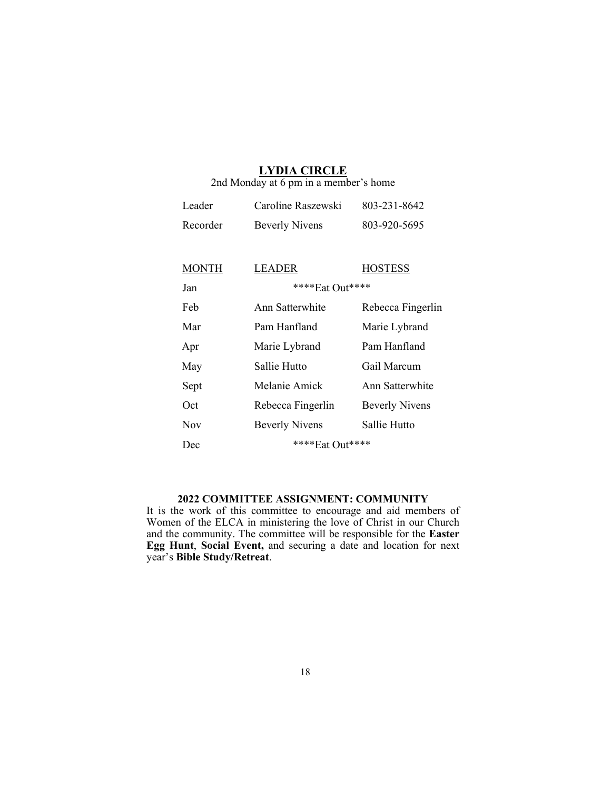# **LYDIA CIRCLE**

2nd Monday at 6 pm in a member's home

| Leader   | Caroline Raszewski    | 803-231-8642 |
|----------|-----------------------|--------------|
| Recorder | <b>Beverly Nivens</b> | 803-920-5695 |

| <b>MONTH</b> | LEADER                | <b>HOSTESS</b>        |
|--------------|-----------------------|-----------------------|
| Jan          | ****Eat Out****       |                       |
| Feb          | Ann Satterwhite       | Rebecca Fingerlin     |
| Mar          | Pam Hanfland          | Marie Lybrand         |
| Apr          | Marie Lybrand         | Pam Hanfland          |
| May          | Sallie Hutto          | Gail Marcum           |
| Sept         | Melanie Amick         | Ann Satterwhite       |
| Oct          | Rebecca Fingerlin     | <b>Beverly Nivens</b> |
| Nov          | <b>Beverly Nivens</b> | Sallie Hutto          |
| Dec          | **** Eat Out ****     |                       |

# **2022 COMMITTEE ASSIGNMENT: COMMUNITY**

It is the work of this committee to encourage and aid members of Women of the ELCA in ministering the love of Christ in our Church and the community. The committee will be responsible for the **Easter Egg Hunt**, **Social Event,** and securing a date and location for next year's **Bible Study/Retreat**.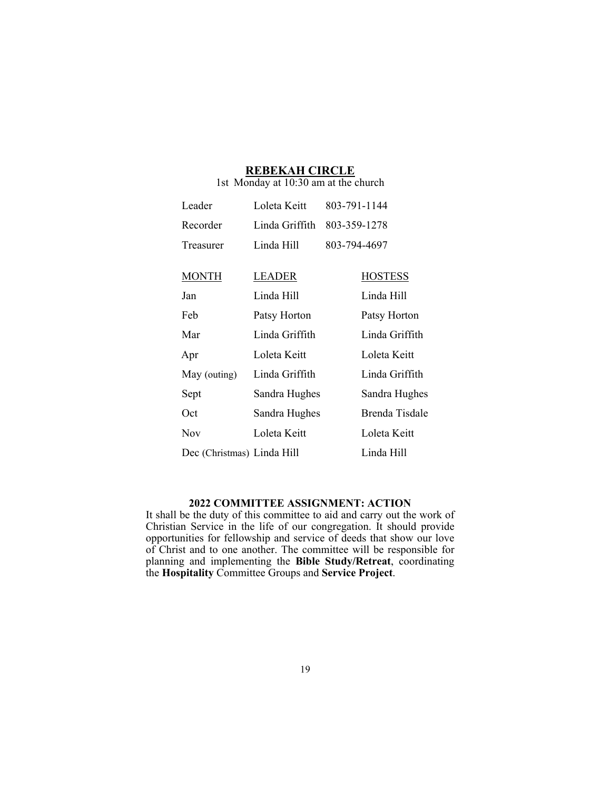#### **REBEKAH CIRCLE** 1st Monday at 10:30 am at the church

| Leader                     | Loleta Keitt   | 803-791-1144   |
|----------------------------|----------------|----------------|
| Recorder                   | Linda Griffith | 803-359-1278   |
| Treasurer                  | Linda Hill     | 803-794-4697   |
|                            |                |                |
| <b>MONTH</b>               | <b>LEADER</b>  | <b>HOSTESS</b> |
| Jan                        | Linda Hill     | Linda Hill     |
| Feb                        | Patsy Horton   | Patsy Horton   |
| Mar                        | Linda Griffith | Linda Griffith |
| Apr                        | Loleta Keitt   | Loleta Keitt   |
| May (outing)               | Linda Griffith | Linda Griffith |
| Sept                       | Sandra Hughes  | Sandra Hughes  |
| Oct                        | Sandra Hughes  | Brenda Tisdale |
| <b>Nov</b>                 | Loleta Keitt   | Loleta Keitt   |
| Dec (Christmas) Linda Hill |                | Linda Hill     |

#### **2022 COMMITTEE ASSIGNMENT: ACTION**

It shall be the duty of this committee to aid and carry out the work of Christian Service in the life of our congregation. It should provide opportunities for fellowship and service of deeds that show our love of Christ and to one another. The committee will be responsible for planning and implementing the **Bible Study/Retreat**, coordinating the **Hospitality** Committee Groups and **Service Project**.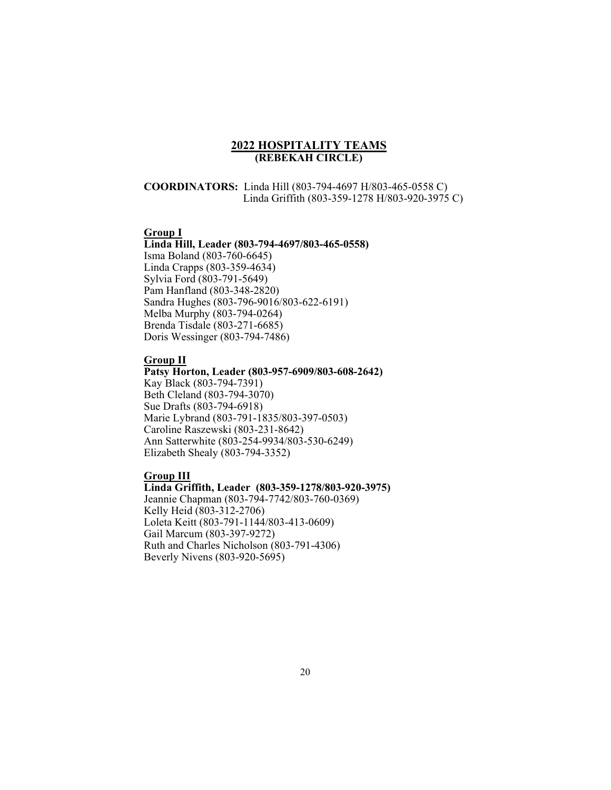#### **2022 HOSPITALITY TEAMS (REBEKAH CIRCLE)**

### **COORDINATORS:** Linda Hill (803-794-4697 H/803-465-0558 C) Linda Griffith (803-359-1278 H/803-920-3975 C)

#### **Group I**

#### **Linda Hill, Leader (803-794-4697/803-465-0558)**

Isma Boland (803-760-6645) Linda Crapps (803-359-4634) Sylvia Ford (803-791-5649) Pam Hanfland (803-348-2820) Sandra Hughes (803-796-9016/803-622-6191) Melba Murphy (803-794-0264) Brenda Tisdale (803-271-6685) Doris Wessinger (803-794-7486)

#### **Group II**

**Patsy Horton, Leader (803-957-6909/803-608-2642)**  Kay Black (803-794-7391) Beth Cleland (803-794-3070) Sue Drafts (803-794-6918) Marie Lybrand (803-791-1835/803-397-0503) Caroline Raszewski (803-231-8642) Ann Satterwhite (803-254-9934/803-530-6249) Elizabeth Shealy (803-794-3352)

#### **Group III**

#### **Linda Griffith, Leader (803-359-1278/803-920-3975)**

Jeannie Chapman (803-794-7742/803-760-0369) Kelly Heid (803-312-2706) Loleta Keitt (803-791-1144/803-413-0609) Gail Marcum (803-397-9272) Ruth and Charles Nicholson (803-791-4306) Beverly Nivens (803-920-5695)